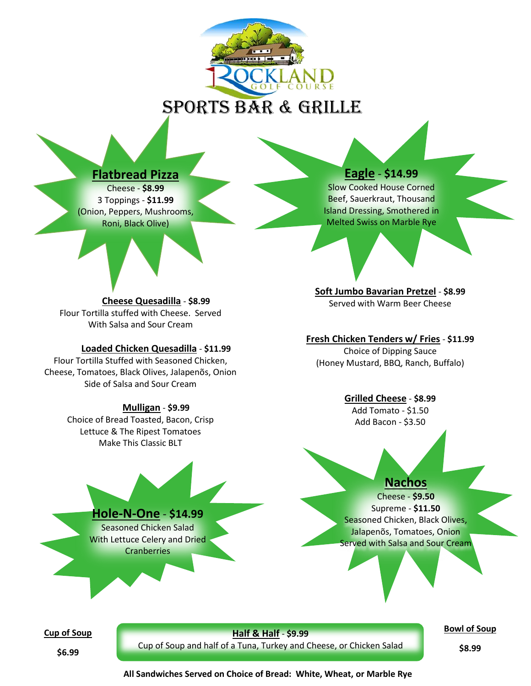

# SPORTS BAR & GRILLE



Cheese - **\$8.99** 3 Toppings - **\$11.99** (Onion, Peppers, Mushrooms, Roni, Black Olive)

# **Eagle** - **\$14.99**

Slow Cooked House Corned Beef, Sauerkraut, Thousand Island Dressing, Smothered in Melted Swiss on Marble Rye

**Cheese Quesadilla** - **\$8.99** Flour Tortilla stuffed with Cheese. Served With Salsa and Sour Cream

#### **Loaded Chicken Quesadilla** - **\$11.99**

Flour Tortilla Stuffed with Seasoned Chicken, Cheese, Tomatoes, Black Olives, Jalapenõs, Onion Side of Salsa and Sour Cream

#### **Mulligan** - **\$9.99**

Choice of Bread Toasted, Bacon, Crisp Lettuce & The Ripest Tomatoes Make This Classic BLT

**Soft Jumbo Bavarian Pretzel** - **\$8.99** Served with Warm Beer Cheese

### **Fresh Chicken Tenders w/ Fries** - **\$11.99**

Choice of Dipping Sauce (Honey Mustard, BBQ, Ranch, Buffalo)

#### **Grilled Cheese** - **\$8.99**

Add Tomato - \$1.50 Add Bacon - \$3.50



**Bowl of Soup**

**\$6.99**

Cup of Soup and half of a Tuna, Turkey and Cheese, or Chicken Salad

**\$8.99**

**All Sandwiches Served on Choice of Bread: White, Wheat, or Marble Rye**